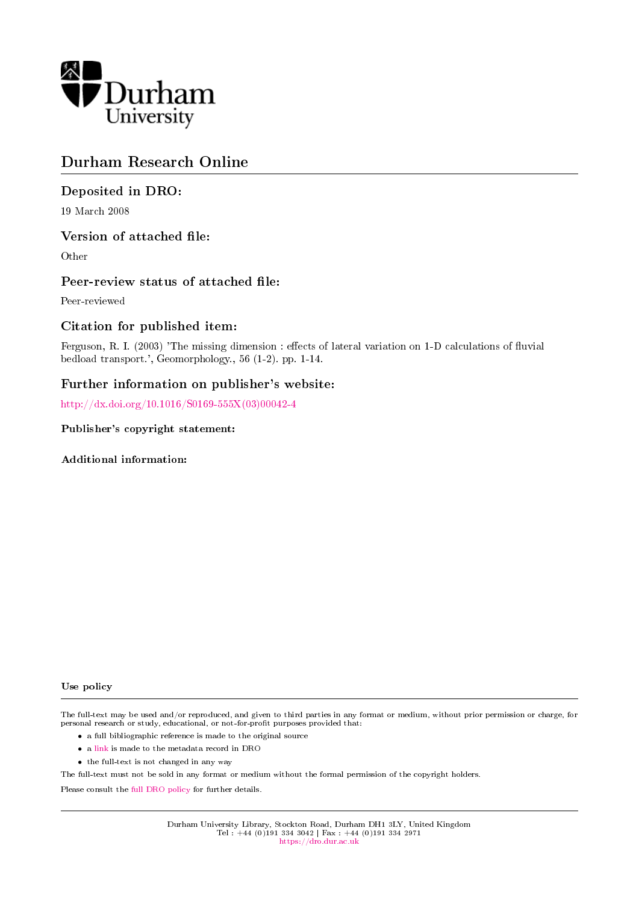

# Durham Research Online

#### Deposited in DRO:

19 March 2008

#### Version of attached file:

Other

#### Peer-review status of attached file:

Peer-reviewed

#### Citation for published item:

Ferguson, R. I. (2003) 'The missing dimension : effects of lateral variation on 1-D calculations of fluvial bedload transport.', Geomorphology., 56 (1-2). pp. 1-14.

#### Further information on publisher's website:

[http://dx.doi.org/10.1016/S0169-555X\(03\)00042-4](http://dx.doi.org/10.1016/S0169-555X(03)00042-4)

Publisher's copyright statement:

Additional information:

#### Use policy

The full-text may be used and/or reproduced, and given to third parties in any format or medium, without prior permission or charge, for personal research or study, educational, or not-for-profit purposes provided that:

- a full bibliographic reference is made to the original source
- a [link](http://dro.dur.ac.uk/1228/) is made to the metadata record in DRO
- the full-text is not changed in any way

The full-text must not be sold in any format or medium without the formal permission of the copyright holders.

Please consult the [full DRO policy](https://dro.dur.ac.uk/policies/usepolicy.pdf) for further details.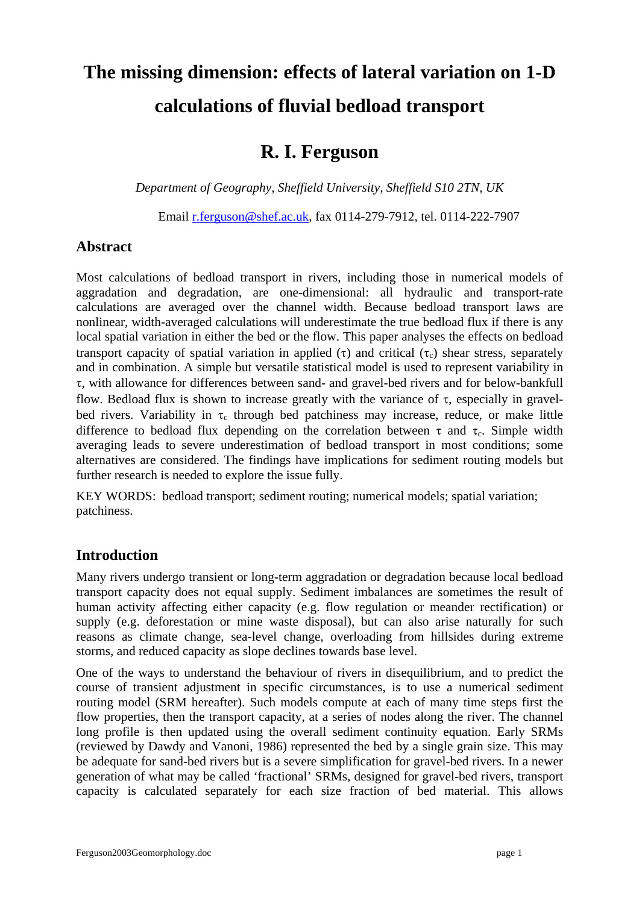# **The missing dimension: effects of lateral variation on 1-D calculations of fluvial bedload transport**

# **R. I. Ferguson**

*Department of Geography, Sheffield University, Sheffield S10 2TN, UK* 

Email [r.ferguson@shef.ac.uk,](mailto:r.ferguson@shef.ac.uk) fax 0114-279-7912, tel. 0114-222-7907

# **Abstract**

Most calculations of bedload transport in rivers, including those in numerical models of aggradation and degradation, are one-dimensional: all hydraulic and transport-rate calculations are averaged over the channel width. Because bedload transport laws are nonlinear, width-averaged calculations will underestimate the true bedload flux if there is any local spatial variation in either the bed or the flow. This paper analyses the effects on bedload transport capacity of spatial variation in applied (τ) and critical (τ) shear stress, separately and in combination. A simple but versatile statistical model is used to represent variability in τ, with allowance for differences between sand- and gravel-bed rivers and for below-bankfull flow. Bedload flux is shown to increase greatly with the variance of  $\tau$ , especially in gravelbed rivers. Variability in  $\tau_c$  through bed patchiness may increase, reduce, or make little difference to bedload flux depending on the correlation between  $\tau$  and  $\tau_c$ . Simple width averaging leads to severe underestimation of bedload transport in most conditions; some alternatives are considered. The findings have implications for sediment routing models but further research is needed to explore the issue fully.

KEY WORDS: bedload transport; sediment routing; numerical models; spatial variation; patchiness.

# **Introduction**

Many rivers undergo transient or long-term aggradation or degradation because local bedload transport capacity does not equal supply. Sediment imbalances are sometimes the result of human activity affecting either capacity (e.g. flow regulation or meander rectification) or supply (e.g. deforestation or mine waste disposal), but can also arise naturally for such reasons as climate change, sea-level change, overloading from hillsides during extreme storms, and reduced capacity as slope declines towards base level.

One of the ways to understand the behaviour of rivers in disequilibrium, and to predict the course of transient adjustment in specific circumstances, is to use a numerical sediment routing model (SRM hereafter). Such models compute at each of many time steps first the flow properties, then the transport capacity, at a series of nodes along the river. The channel long profile is then updated using the overall sediment continuity equation. Early SRMs (reviewed by Dawdy and Vanoni, 1986) represented the bed by a single grain size. This may be adequate for sand-bed rivers but is a severe simplification for gravel-bed rivers. In a newer generation of what may be called 'fractional' SRMs, designed for gravel-bed rivers, transport capacity is calculated separately for each size fraction of bed material. This allows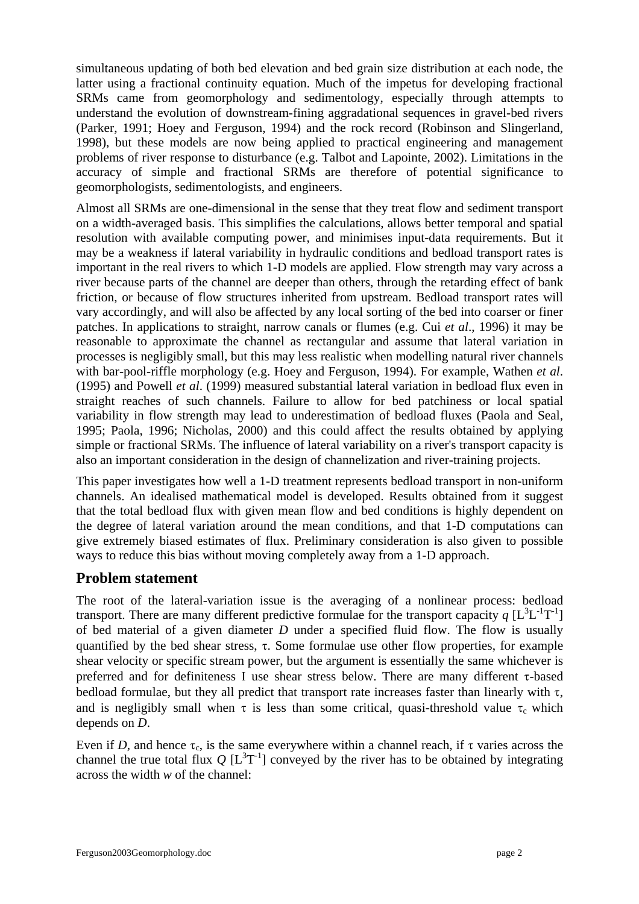simultaneous updating of both bed elevation and bed grain size distribution at each node, the latter using a fractional continuity equation. Much of the impetus for developing fractional SRMs came from geomorphology and sedimentology, especially through attempts to understand the evolution of downstream-fining aggradational sequences in gravel-bed rivers (Parker, 1991; Hoey and Ferguson, 1994) and the rock record (Robinson and Slingerland, 1998), but these models are now being applied to practical engineering and management problems of river response to disturbance (e.g. Talbot and Lapointe, 2002). Limitations in the accuracy of simple and fractional SRMs are therefore of potential significance to geomorphologists, sedimentologists, and engineers.

Almost all SRMs are one-dimensional in the sense that they treat flow and sediment transport on a width-averaged basis. This simplifies the calculations, allows better temporal and spatial resolution with available computing power, and minimises input-data requirements. But it may be a weakness if lateral variability in hydraulic conditions and bedload transport rates is important in the real rivers to which 1-D models are applied. Flow strength may vary across a river because parts of the channel are deeper than others, through the retarding effect of bank friction, or because of flow structures inherited from upstream. Bedload transport rates will vary accordingly, and will also be affected by any local sorting of the bed into coarser or finer patches. In applications to straight, narrow canals or flumes (e.g. Cui *et al*., 1996) it may be reasonable to approximate the channel as rectangular and assume that lateral variation in processes is negligibly small, but this may less realistic when modelling natural river channels with bar-pool-riffle morphology (e.g. Hoey and Ferguson, 1994). For example, Wathen *et al*. (1995) and Powell *et al*. (1999) measured substantial lateral variation in bedload flux even in straight reaches of such channels. Failure to allow for bed patchiness or local spatial variability in flow strength may lead to underestimation of bedload fluxes (Paola and Seal, 1995; Paola, 1996; Nicholas, 2000) and this could affect the results obtained by applying simple or fractional SRMs. The influence of lateral variability on a river's transport capacity is also an important consideration in the design of channelization and river-training projects.

This paper investigates how well a 1-D treatment represents bedload transport in non-uniform channels. An idealised mathematical model is developed. Results obtained from it suggest that the total bedload flux with given mean flow and bed conditions is highly dependent on the degree of lateral variation around the mean conditions, and that 1-D computations can give extremely biased estimates of flux. Preliminary consideration is also given to possible ways to reduce this bias without moving completely away from a 1-D approach.

# **Problem statement**

The root of the lateral-variation issue is the averaging of a nonlinear process: bedload transport. There are many different predictive formulae for the transport capacity  $q [L^3L^{-1}T^{-1}]$ of bed material of a given diameter *D* under a specified fluid flow. The flow is usually quantified by the bed shear stress,  $\tau$ . Some formulae use other flow properties, for example shear velocity or specific stream power, but the argument is essentially the same whichever is preferred and for definiteness I use shear stress below. There are many different τ-based bedload formulae, but they all predict that transport rate increases faster than linearly with  $\tau$ , and is negligibly small when  $\tau$  is less than some critical, quasi-threshold value  $\tau_c$  which depends on *D*.

Even if *D*, and hence  $\tau_c$ , is the same everywhere within a channel reach, if  $\tau$  varies across the channel the true total flux  $Q [L^3T^{-1}]$  conveyed by the river has to be obtained by integrating across the width *w* of the channel: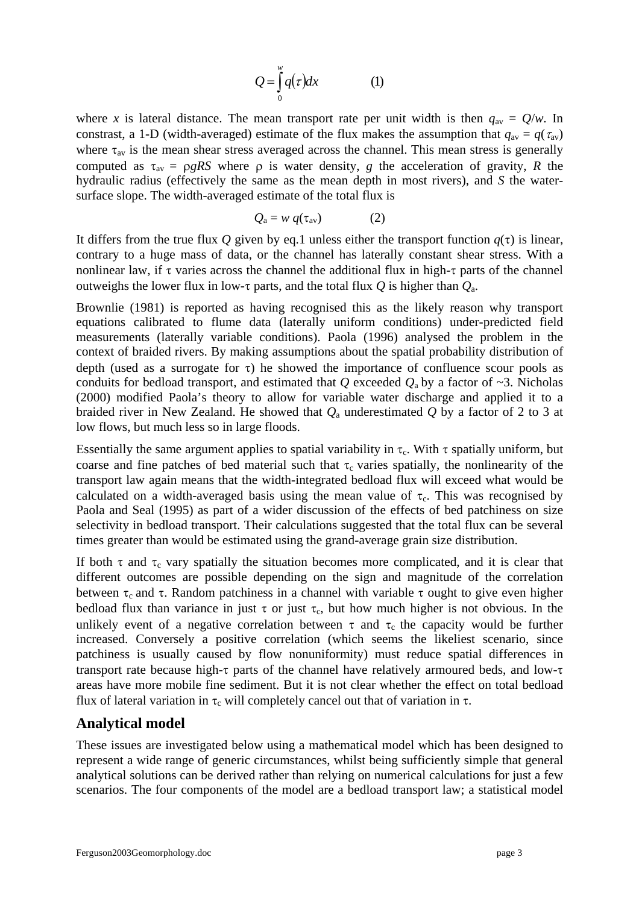$$
Q = \int_{0}^{w} q(\tau) dx
$$
 (1)

where *x* is lateral distance. The mean transport rate per unit width is then  $q_{av} = Q/w$ . In constrast, a 1-D (width-averaged) estimate of the flux makes the assumption that  $q_{av} = q(\tau_{av})$ where  $\tau_{av}$  is the mean shear stress averaged across the channel. This mean stress is generally computed as  $\tau_{av} = \rho g R S$  where  $\rho$  is water density, *g* the acceleration of gravity, *R* the hydraulic radius (effectively the same as the mean depth in most rivers), and *S* the watersurface slope. The width-averaged estimate of the total flux is

$$
Q_{\rm a} = w \, q(\tau_{\rm av}) \tag{2}
$$

It differs from the true flux *Q* given by eq.1 unless either the transport function  $q(\tau)$  is linear, contrary to a huge mass of data, or the channel has laterally constant shear stress. With a nonlinear law, if  $\tau$  varies across the channel the additional flux in high- $\tau$  parts of the channel outweighs the lower flux in low-τ parts, and the total flux *Q* is higher than *Q*a.

Brownlie (1981) is reported as having recognised this as the likely reason why transport equations calibrated to flume data (laterally uniform conditions) under-predicted field measurements (laterally variable conditions). Paola (1996) analysed the problem in the context of braided rivers. By making assumptions about the spatial probability distribution of depth (used as a surrogate for  $\tau$ ) he showed the importance of confluence scour pools as conduits for bedload transport, and estimated that *Q* exceeded  $Q_a$  by a factor of ~3. Nicholas (2000) modified Paola's theory to allow for variable water discharge and applied it to a braided river in New Zealand. He showed that *Q*a underestimated *Q* by a factor of 2 to 3 at low flows, but much less so in large floods.

Essentially the same argument applies to spatial variability in  $\tau_c$ . With  $\tau$  spatially uniform, but coarse and fine patches of bed material such that  $\tau_c$  varies spatially, the nonlinearity of the transport law again means that the width-integrated bedload flux will exceed what would be calculated on a width-averaged basis using the mean value of  $\tau_c$ . This was recognised by Paola and Seal (1995) as part of a wider discussion of the effects of bed patchiness on size selectivity in bedload transport. Their calculations suggested that the total flux can be several times greater than would be estimated using the grand-average grain size distribution.

If both  $\tau$  and  $\tau_c$  vary spatially the situation becomes more complicated, and it is clear that different outcomes are possible depending on the sign and magnitude of the correlation between  $\tau_c$  and  $\tau$ . Random patchiness in a channel with variable  $\tau$  ought to give even higher bedload flux than variance in just  $\tau$  or just  $\tau_c$ , but how much higher is not obvious. In the unlikely event of a negative correlation between  $\tau$  and  $\tau_c$  the capacity would be further increased. Conversely a positive correlation (which seems the likeliest scenario, since patchiness is usually caused by flow nonuniformity) must reduce spatial differences in transport rate because high-τ parts of the channel have relatively armoured beds, and low-τ areas have more mobile fine sediment. But it is not clear whether the effect on total bedload flux of lateral variation in τ<sub>c</sub> will completely cancel out that of variation in τ.

#### **Analytical model**

These issues are investigated below using a mathematical model which has been designed to represent a wide range of generic circumstances, whilst being sufficiently simple that general analytical solutions can be derived rather than relying on numerical calculations for just a few scenarios. The four components of the model are a bedload transport law; a statistical model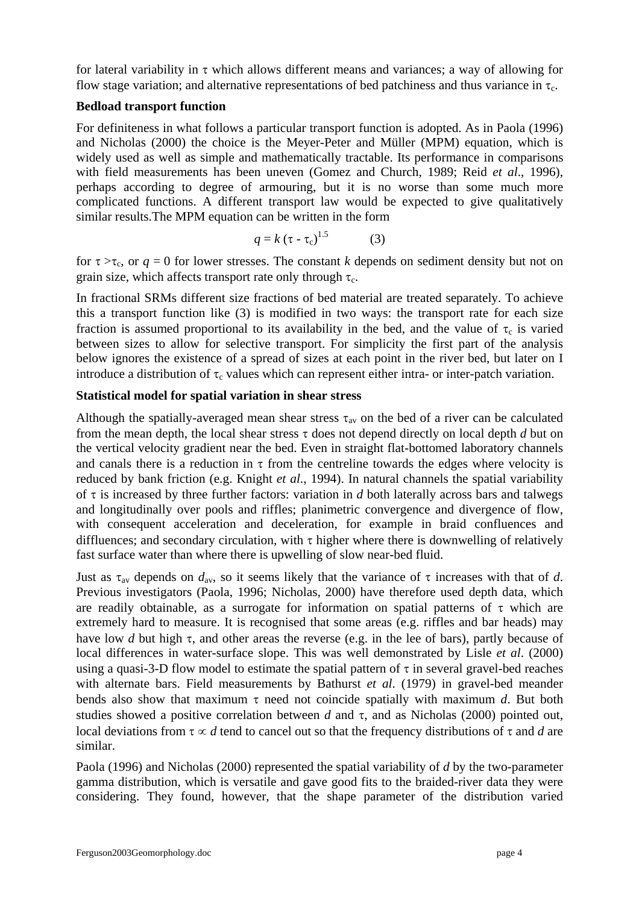for lateral variability in  $\tau$  which allows different means and variances; a way of allowing for flow stage variation; and alternative representations of bed patchiness and thus variance in  $\tau_c$ .

#### **Bedload transport function**

For definiteness in what follows a particular transport function is adopted. As in Paola (1996) and Nicholas (2000) the choice is the Meyer-Peter and Müller (MPM) equation, which is widely used as well as simple and mathematically tractable. Its performance in comparisons with field measurements has been uneven (Gomez and Church, 1989; Reid *et al*., 1996), perhaps according to degree of armouring, but it is no worse than some much more complicated functions. A different transport law would be expected to give qualitatively similar results.The MPM equation can be written in the form

$$
q = k \left(\tau - \tau_c\right)^{1.5} \tag{3}
$$

for  $\tau > \tau_c$ , or  $q = 0$  for lower stresses. The constant *k* depends on sediment density but not on grain size, which affects transport rate only through  $\tau_c$ .

In fractional SRMs different size fractions of bed material are treated separately. To achieve this a transport function like (3) is modified in two ways: the transport rate for each size fraction is assumed proportional to its availability in the bed, and the value of  $\tau_c$  is varied between sizes to allow for selective transport. For simplicity the first part of the analysis below ignores the existence of a spread of sizes at each point in the river bed, but later on I introduce a distribution of  $\tau_c$  values which can represent either intra- or inter-patch variation.

## **Statistical model for spatial variation in shear stress**

Although the spatially-averaged mean shear stress  $\tau_{av}$  on the bed of a river can be calculated from the mean depth, the local shear stress τ does not depend directly on local depth *d* but on the vertical velocity gradient near the bed. Even in straight flat-bottomed laboratory channels and canals there is a reduction in  $\tau$  from the centreline towards the edges where velocity is reduced by bank friction (e.g. Knight *et al*., 1994). In natural channels the spatial variability of  $\tau$  is increased by three further factors: variation in *d* both laterally across bars and talwegs and longitudinally over pools and riffles; planimetric convergence and divergence of flow, with consequent acceleration and deceleration, for example in braid confluences and diffluences; and secondary circulation, with  $\tau$  higher where there is downwelling of relatively fast surface water than where there is upwelling of slow near-bed fluid.

Just as  $\tau_{av}$  depends on  $d_{av}$ , so it seems likely that the variance of  $\tau$  increases with that of *d*. Previous investigators (Paola, 1996; Nicholas, 2000) have therefore used depth data, which are readily obtainable, as a surrogate for information on spatial patterns of  $\tau$  which are extremely hard to measure. It is recognised that some areas (e.g. riffles and bar heads) may have low *d* but high τ, and other areas the reverse (e.g. in the lee of bars), partly because of local differences in water-surface slope. This was well demonstrated by Lisle *et al*. (2000) using a quasi-3-D flow model to estimate the spatial pattern of  $\tau$  in several gravel-bed reaches with alternate bars. Field measurements by Bathurst *et al*. (1979) in gravel-bed meander bends also show that maximum τ need not coincide spatially with maximum *d*. But both studies showed a positive correlation between *d* and  $\tau$ , and as Nicholas (2000) pointed out, local deviations from  $\tau \propto d$  tend to cancel out so that the frequency distributions of  $\tau$  and *d* are similar.

Paola (1996) and Nicholas (2000) represented the spatial variability of *d* by the two-parameter gamma distribution, which is versatile and gave good fits to the braided-river data they were considering. They found, however, that the shape parameter of the distribution varied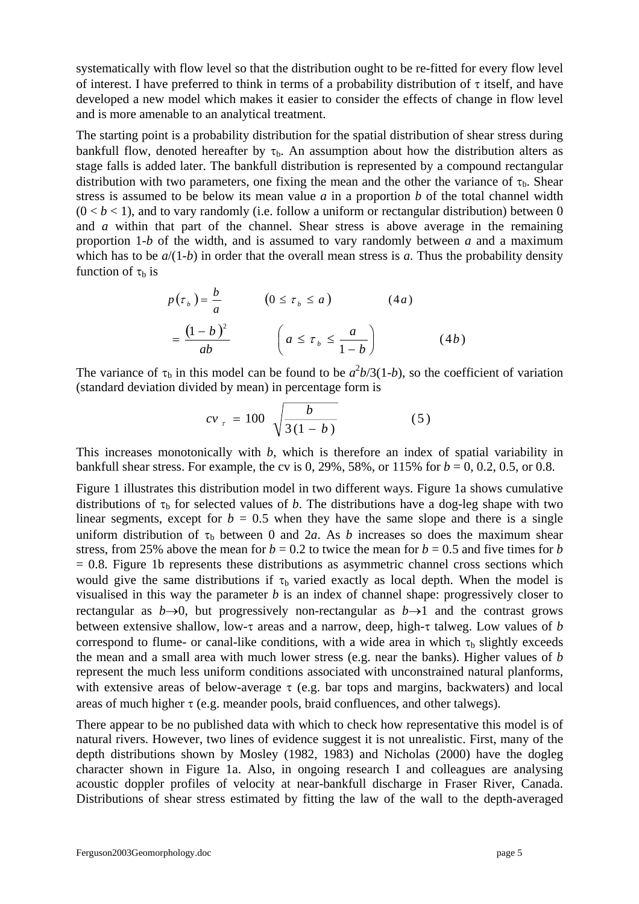systematically with flow level so that the distribution ought to be re-fitted for every flow level of interest. I have preferred to think in terms of a probability distribution of  $\tau$  itself, and have developed a new model which makes it easier to consider the effects of change in flow level and is more amenable to an analytical treatment.

The starting point is a probability distribution for the spatial distribution of shear stress during bankfull flow, denoted hereafter by  $\tau_b$ . An assumption about how the distribution alters as stage falls is added later. The bankfull distribution is represented by a compound rectangular distribution with two parameters, one fixing the mean and the other the variance of  $\tau_{b}$ . Shear stress is assumed to be below its mean value *a* in a proportion *b* of the total channel width  $(0 < b < 1)$ , and to vary randomly (i.e. follow a uniform or rectangular distribution) between 0 and *a* within that part of the channel. Shear stress is above average in the remaining proportion 1-*b* of the width, and is assumed to vary randomly between *a* and a maximum which has to be  $a/(1-b)$  in order that the overall mean stress is *a*. Thus the probability density function of  $\tau_b$  is

$$
p(\tau_b) = \frac{b}{a} \qquad (0 \le \tau_b \le a) \qquad (4a)
$$

$$
= \frac{(1-b)^2}{ab} \qquad \left(a \le \tau_b \le \frac{a}{1-b}\right) \qquad (4b)
$$

The variance of  $\tau_b$  in this model can be found to be  $a^2b/3(1-b)$ , so the coefficient of variation (standard deviation divided by mean) in percentage form is

$$
cv_{\tau} = 100 \sqrt{\frac{b}{3(1-b)}} \tag{5}
$$

This increases monotonically with *b*, which is therefore an index of spatial variability in bankfull shear stress. For example, the cv is 0, 29%, 58%, or 115% for  $b = 0, 0.2, 0.5,$  or 0.8.

Figure 1 illustrates this distribution model in two different ways. Figure 1a shows cumulative distributions of  $\tau_b$  for selected values of *b*. The distributions have a dog-leg shape with two linear segments, except for  $b = 0.5$  when they have the same slope and there is a single uniform distribution of  $\tau_b$  between 0 and 2*a*. As *b* increases so does the maximum shear stress, from 25% above the mean for  $b = 0.2$  to twice the mean for  $b = 0.5$  and five times for *b*  $= 0.8$ . Figure 1b represents these distributions as asymmetric channel cross sections which would give the same distributions if  $\tau_b$  varied exactly as local depth. When the model is visualised in this way the parameter *b* is an index of channel shape: progressively closer to rectangular as  $b\rightarrow 0$ , but progressively non-rectangular as  $b\rightarrow 1$  and the contrast grows between extensive shallow, low-τ areas and a narrow, deep, high-τ talweg. Low values of *b* correspond to flume- or canal-like conditions, with a wide area in which  $\tau_b$  slightly exceeds the mean and a small area with much lower stress (e.g. near the banks). Higher values of *b* represent the much less uniform conditions associated with unconstrained natural planforms, with extensive areas of below-average  $\tau$  (e.g. bar tops and margins, backwaters) and local areas of much higher  $\tau$  (e.g. meander pools, braid confluences, and other talwegs).

There appear to be no published data with which to check how representative this model is of natural rivers. However, two lines of evidence suggest it is not unrealistic. First, many of the depth distributions shown by Mosley (1982, 1983) and Nicholas (2000) have the dogleg character shown in Figure 1a. Also, in ongoing research I and colleagues are analysing acoustic doppler profiles of velocity at near-bankfull discharge in Fraser River, Canada. Distributions of shear stress estimated by fitting the law of the wall to the depth-averaged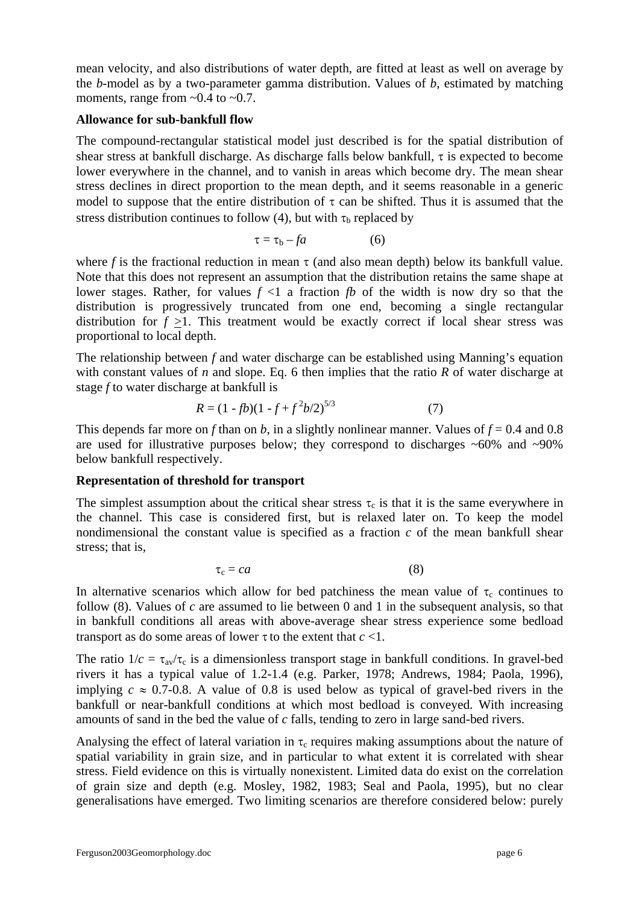mean velocity, and also distributions of water depth, are fitted at least as well on average by the *b*-model as by a two-parameter gamma distribution. Values of *b*, estimated by matching moments, range from  $\sim 0.4$  to  $\sim 0.7$ .

#### **Allowance for sub-bankfull flow**

The compound-rectangular statistical model just described is for the spatial distribution of shear stress at bankfull discharge. As discharge falls below bankfull, τ is expected to become lower everywhere in the channel, and to vanish in areas which become dry. The mean shear stress declines in direct proportion to the mean depth, and it seems reasonable in a generic model to suppose that the entire distribution of  $\tau$  can be shifted. Thus it is assumed that the stress distribution continues to follow (4), but with  $\tau_b$  replaced by

$$
\tau = \tau_b - fa \tag{6}
$$

where *f* is the fractional reduction in mean  $\tau$  (and also mean depth) below its bankfull value. Note that this does not represent an assumption that the distribution retains the same shape at lower stages. Rather, for values  $f \leq 1$  a fraction *fb* of the width is now dry so that the distribution is progressively truncated from one end, becoming a single rectangular distribution for  $f > 1$ . This treatment would be exactly correct if local shear stress was proportional to local depth.

The relationship between *f* and water discharge can be established using Manning's equation with constant values of *n* and slope. Eq. 6 then implies that the ratio *R* of water discharge at stage *f* to water discharge at bankfull is

$$
R = (1 - fb)(1 - f + f^2b/2)^{5/3}
$$
 (7)

This depends far more on *f* than on *b*, in a slightly nonlinear manner. Values of  $f = 0.4$  and 0.8 are used for illustrative purposes below; they correspond to discharges  $~60\%$  and  $~90\%$ below bankfull respectively.

#### **Representation of threshold for transport**

The simplest assumption about the critical shear stress  $\tau_c$  is that it is the same everywhere in the channel. This case is considered first, but is relaxed later on. To keep the model nondimensional the constant value is specified as a fraction *c* of the mean bankfull shear stress; that is,

$$
\tau_c = ca \tag{8}
$$

In alternative scenarios which allow for bed patchiness the mean value of  $\tau_c$  continues to follow (8). Values of *c* are assumed to lie between 0 and 1 in the subsequent analysis, so that in bankfull conditions all areas with above-average shear stress experience some bedload transport as do some areas of lower  $\tau$  to the extent that  $c < 1$ .

The ratio  $1/c = \tau_{av}/\tau_c$  is a dimensionless transport stage in bankfull conditions. In gravel-bed rivers it has a typical value of 1.2-1.4 (e.g. Parker, 1978; Andrews, 1984; Paola, 1996), implying  $c \approx 0.7$ -0.8. A value of 0.8 is used below as typical of gravel-bed rivers in the bankfull or near-bankfull conditions at which most bedload is conveyed. With increasing amounts of sand in the bed the value of *c* falls, tending to zero in large sand-bed rivers.

Analysing the effect of lateral variation in  $\tau_c$  requires making assumptions about the nature of spatial variability in grain size, and in particular to what extent it is correlated with shear stress. Field evidence on this is virtually nonexistent. Limited data do exist on the correlation of grain size and depth (e.g. Mosley, 1982, 1983; Seal and Paola, 1995), but no clear generalisations have emerged. Two limiting scenarios are therefore considered below: purely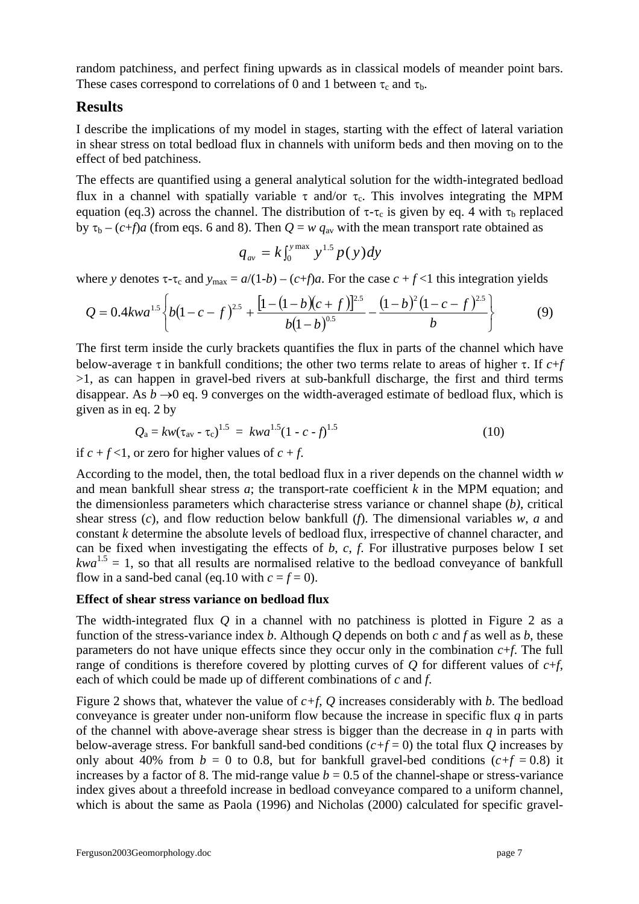random patchiness, and perfect fining upwards as in classical models of meander point bars. These cases correspond to correlations of 0 and 1 between  $\tau_c$  and  $\tau_b$ .

# **Results**

I describe the implications of my model in stages, starting with the effect of lateral variation in shear stress on total bedload flux in channels with uniform beds and then moving on to the effect of bed patchiness.

The effects are quantified using a general analytical solution for the width-integrated bedload flux in a channel with spatially variable τ and/or τ<sub>c</sub>. This involves integrating the MPM equation (eq.3) across the channel. The distribution of  $\tau$ - $\tau_c$  is given by eq. 4 with  $\tau_b$  replaced by  $\tau_b - (c+f)a$  (from eqs. 6 and 8). Then  $Q = w q_{av}$  with the mean transport rate obtained as

$$
q_{\text{av}} = k \int_0^{y_{\text{max}}} y^{1.5} p(y) dy
$$

where *y* denotes  $\tau$ - $\tau_c$  and  $y_{\text{max}} = a/(1-b) - (c+f)a$ . For the case  $c + f < 1$  this integration yields

$$
Q = 0.4kwa^{1.5} \left\{ b(1-c-f)^{2.5} + \frac{\left[1 - (1-b)(c+f)\right]^{2.5}}{b(1-b)^{0.5}} - \frac{(1-b)^2(1-c-f)^{2.5}}{b} \right\}
$$
(9)

The first term inside the curly brackets quantifies the flux in parts of the channel which have below-average τ in bankfull conditions; the other two terms relate to areas of higher τ. If *c*+*f*  $>1$ , as can happen in gravel-bed rivers at sub-bankfull discharge, the first and third terms disappear. As  $b \rightarrow 0$  eq. 9 converges on the width-averaged estimate of bedload flux, which is given as in eq. 2 by

$$
Q_{\rm a} = kw(\tau_{\rm av} - \tau_{\rm c})^{1.5} = kwa^{1.5}(1 - c - f)^{1.5}
$$
 (10)

if  $c + f < 1$ , or zero for higher values of  $c + f$ .

According to the model, then, the total bedload flux in a river depends on the channel width *w* and mean bankfull shear stress *a*; the transport-rate coefficient *k* in the MPM equation; and the dimensionless parameters which characterise stress variance or channel shape (*b)*, critical shear stress (*c*), and flow reduction below bankfull (*f*). The dimensional variables *w*, *a* and constant *k* determine the absolute levels of bedload flux, irrespective of channel character, and can be fixed when investigating the effects of *b*, *c*, *f*. For illustrative purposes below I set  $kwa^{1.5} = 1$ , so that all results are normalised relative to the bedload conveyance of bankfull flow in a sand-bed canal (eq.10 with  $c = f = 0$ ).

#### **Effect of shear stress variance on bedload flux**

The width-integrated flux *Q* in a channel with no patchiness is plotted in Figure 2 as a function of the stress-variance index *b*. Although *Q* depends on both *c* and *f* as well as *b*, these parameters do not have unique effects since they occur only in the combination  $c+f$ . The full range of conditions is therefore covered by plotting curves of *Q* for different values of  $c+f$ , each of which could be made up of different combinations of *c* and *f*.

Figure 2 shows that, whatever the value of *c+f*, *Q* increases considerably with *b*. The bedload conveyance is greater under non-uniform flow because the increase in specific flux *q* in parts of the channel with above-average shear stress is bigger than the decrease in *q* in parts with below-average stress. For bankfull sand-bed conditions  $(c+f=0)$  the total flux *Q* increases by only about 40% from  $b = 0$  to 0.8, but for bankfull gravel-bed conditions  $(c+f = 0.8)$  it increases by a factor of 8. The mid-range value  $b = 0.5$  of the channel-shape or stress-variance index gives about a threefold increase in bedload conveyance compared to a uniform channel, which is about the same as Paola (1996) and Nicholas (2000) calculated for specific gravel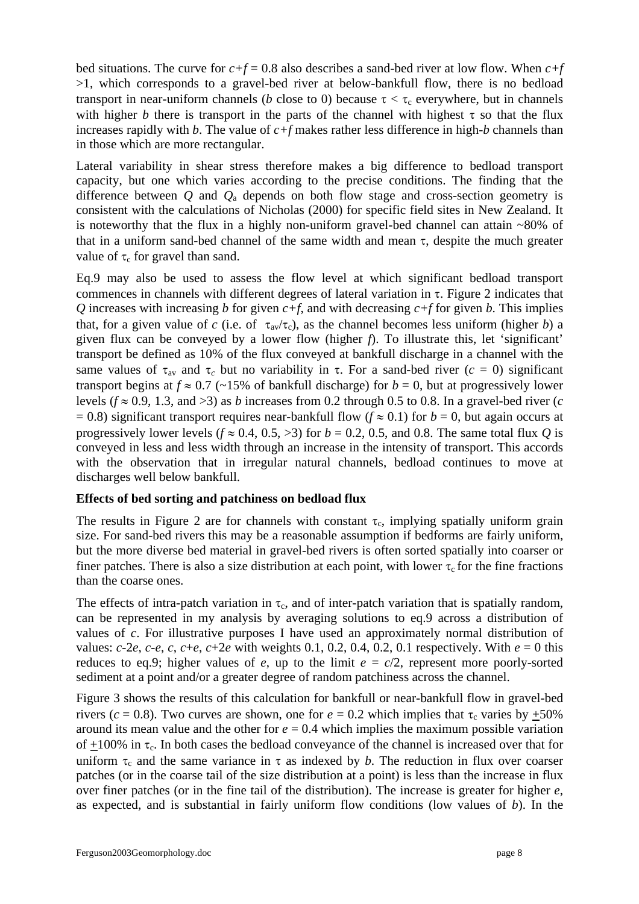bed situations. The curve for  $c+f = 0.8$  also describes a sand-bed river at low flow. When  $c+f$ >1, which corresponds to a gravel-bed river at below-bankfull flow, there is no bedload transport in near-uniform channels (*b* close to 0) because  $\tau < \tau_c$  everywhere, but in channels with higher *b* there is transport in the parts of the channel with highest  $\tau$  so that the flux increases rapidly with *b*. The value of *c+f* makes rather less difference in high-*b* channels than in those which are more rectangular.

Lateral variability in shear stress therefore makes a big difference to bedload transport capacity, but one which varies according to the precise conditions. The finding that the difference between *Q* and *Q*a depends on both flow stage and cross-section geometry is consistent with the calculations of Nicholas (2000) for specific field sites in New Zealand. It is noteworthy that the flux in a highly non-uniform gravel-bed channel can attain  $\sim80\%$  of that in a uniform sand-bed channel of the same width and mean  $\tau$ , despite the much greater value of  $\tau_c$  for gravel than sand.

Eq.9 may also be used to assess the flow level at which significant bedload transport commences in channels with different degrees of lateral variation in τ. Figure 2 indicates that *Q* increases with increasing *b* for given  $c+f$ , and with decreasing  $c+f$  for given *b*. This implies that, for a given value of *c* (i.e. of  $\tau_{av}/\tau_c$ ), as the channel becomes less uniform (higher *b*) a given flux can be conveyed by a lower flow (higher *f*). To illustrate this, let 'significant' transport be defined as 10% of the flux conveyed at bankfull discharge in a channel with the same values of  $\tau_{av}$  and  $\tau_c$  but no variability in  $\tau$ . For a sand-bed river ( $c = 0$ ) significant transport begins at  $f \approx 0.7$  (~15% of bankfull discharge) for  $b = 0$ , but at progressively lower levels ( $f \approx 0.9$ , 1.3, and >3) as *b* increases from 0.2 through 0.5 to 0.8. In a gravel-bed river (*c*  $= 0.8$ ) significant transport requires near-bankfull flow ( $f \approx 0.1$ ) for  $b = 0$ , but again occurs at progressively lower levels ( $f \approx 0.4$ , 0.5, >3) for  $b = 0.2$ , 0.5, and 0.8. The same total flux *O* is conveyed in less and less width through an increase in the intensity of transport. This accords with the observation that in irregular natural channels, bedload continues to move at discharges well below bankfull.

#### **Effects of bed sorting and patchiness on bedload flux**

The results in Figure 2 are for channels with constant  $\tau_c$ , implying spatially uniform grain size. For sand-bed rivers this may be a reasonable assumption if bedforms are fairly uniform, but the more diverse bed material in gravel-bed rivers is often sorted spatially into coarser or finer patches. There is also a size distribution at each point, with lower  $\tau_c$  for the fine fractions than the coarse ones.

The effects of intra-patch variation in  $\tau_c$ , and of inter-patch variation that is spatially random, can be represented in my analysis by averaging solutions to eq.9 across a distribution of values of *c*. For illustrative purposes I have used an approximately normal distribution of values:  $c$ -2*e*,  $c$ -*e*,  $c$ ,  $c$ +*e*,  $c$ +2*e* with weights 0.1, 0.2, 0.4, 0.2, 0.1 respectively. With  $e = 0$  this reduces to eq.9; higher values of *e*, up to the limit  $e = c/2$ , represent more poorly-sorted sediment at a point and/or a greater degree of random patchiness across the channel.

Figure 3 shows the results of this calculation for bankfull or near-bankfull flow in gravel-bed rivers ( $c = 0.8$ ). Two curves are shown, one for  $e = 0.2$  which implies that  $\tau_c$  varies by  $\pm 50\%$ around its mean value and the other for  $e = 0.4$  which implies the maximum possible variation of  $\pm 100\%$  in  $\tau_c$ . In both cases the bedload conveyance of the channel is increased over that for uniform  $\tau_c$  and the same variance in  $\tau$  as indexed by *b*. The reduction in flux over coarser patches (or in the coarse tail of the size distribution at a point) is less than the increase in flux over finer patches (or in the fine tail of the distribution). The increase is greater for higher *e*, as expected, and is substantial in fairly uniform flow conditions (low values of *b*). In the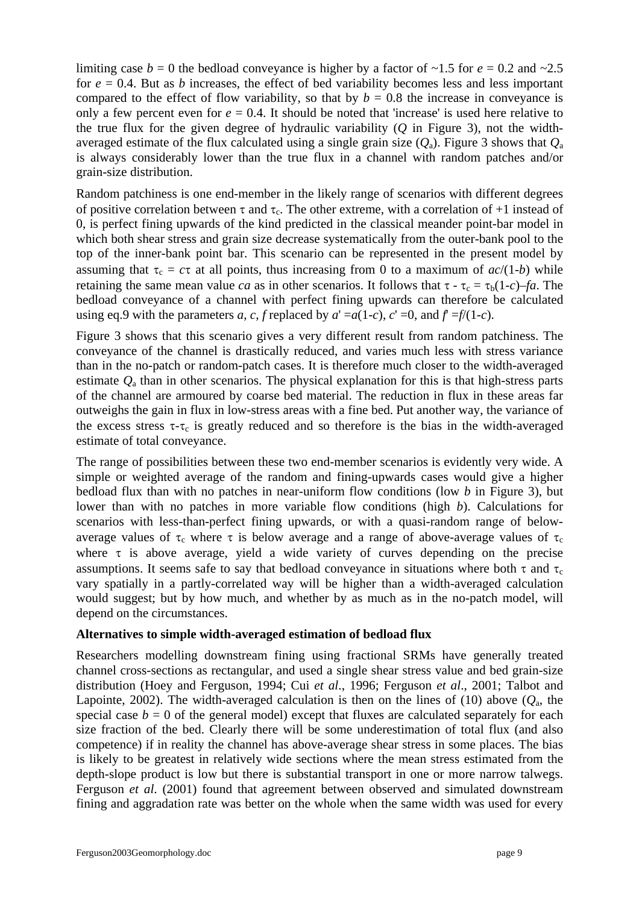limiting case  $b = 0$  the bedload conveyance is higher by a factor of  $\sim 1.5$  for  $e = 0.2$  and  $\sim 2.5$ for  $e = 0.4$ . But as *b* increases, the effect of bed variability becomes less and less important compared to the effect of flow variability, so that by  $b = 0.8$  the increase in conveyance is only a few percent even for  $e = 0.4$ . It should be noted that 'increase' is used here relative to the true flux for the given degree of hydraulic variability (*Q* in Figure 3), not the widthaveraged estimate of the flux calculated using a single grain size  $(Q_a)$ . Figure 3 shows that  $Q_a$ is always considerably lower than the true flux in a channel with random patches and/or grain-size distribution.

Random patchiness is one end-member in the likely range of scenarios with different degrees of positive correlation between  $\tau$  and  $\tau_c$ . The other extreme, with a correlation of +1 instead of 0, is perfect fining upwards of the kind predicted in the classical meander point-bar model in which both shear stress and grain size decrease systematically from the outer-bank pool to the top of the inner-bank point bar. This scenario can be represented in the present model by assuming that  $\tau_c = c\tau$  at all points, thus increasing from 0 to a maximum of  $ac/(1-b)$  while retaining the same mean value *ca* as in other scenarios. It follows that  $\tau - \tau_c = \tau_b(1-c) - fa$ . The bedload conveyance of a channel with perfect fining upwards can therefore be calculated using eq.9 with the parameters *a*, *c*, *f* replaced by  $a' = a(1-c)$ ,  $c' = 0$ , and  $f = f/(1-c)$ .

Figure 3 shows that this scenario gives a very different result from random patchiness. The conveyance of the channel is drastically reduced, and varies much less with stress variance than in the no-patch or random-patch cases. It is therefore much closer to the width-averaged estimate *Q*a than in other scenarios. The physical explanation for this is that high-stress parts of the channel are armoured by coarse bed material. The reduction in flux in these areas far outweighs the gain in flux in low-stress areas with a fine bed. Put another way, the variance of the excess stress  $\tau$ - $\tau_c$  is greatly reduced and so therefore is the bias in the width-averaged estimate of total conveyance.

The range of possibilities between these two end-member scenarios is evidently very wide. A simple or weighted average of the random and fining-upwards cases would give a higher bedload flux than with no patches in near-uniform flow conditions (low *b* in Figure 3), but lower than with no patches in more variable flow conditions (high *b*). Calculations for scenarios with less-than-perfect fining upwards, or with a quasi-random range of belowaverage values of  $\tau_c$  where  $\tau$  is below average and a range of above-average values of  $\tau_c$ where  $\tau$  is above average, yield a wide variety of curves depending on the precise assumptions. It seems safe to say that bedload conveyance in situations where both  $\tau$  and  $\tau_c$ vary spatially in a partly-correlated way will be higher than a width-averaged calculation would suggest; but by how much, and whether by as much as in the no-patch model, will depend on the circumstances.

#### **Alternatives to simple width-averaged estimation of bedload flux**

Researchers modelling downstream fining using fractional SRMs have generally treated channel cross-sections as rectangular, and used a single shear stress value and bed grain-size distribution (Hoey and Ferguson, 1994; Cui *et al*., 1996; Ferguson *et al*., 2001; Talbot and Lapointe, 2002). The width-averaged calculation is then on the lines of (10) above  $(Q_a,$  the special case  $b = 0$  of the general model) except that fluxes are calculated separately for each size fraction of the bed. Clearly there will be some underestimation of total flux (and also competence) if in reality the channel has above-average shear stress in some places. The bias is likely to be greatest in relatively wide sections where the mean stress estimated from the depth-slope product is low but there is substantial transport in one or more narrow talwegs. Ferguson *et al*. (2001) found that agreement between observed and simulated downstream fining and aggradation rate was better on the whole when the same width was used for every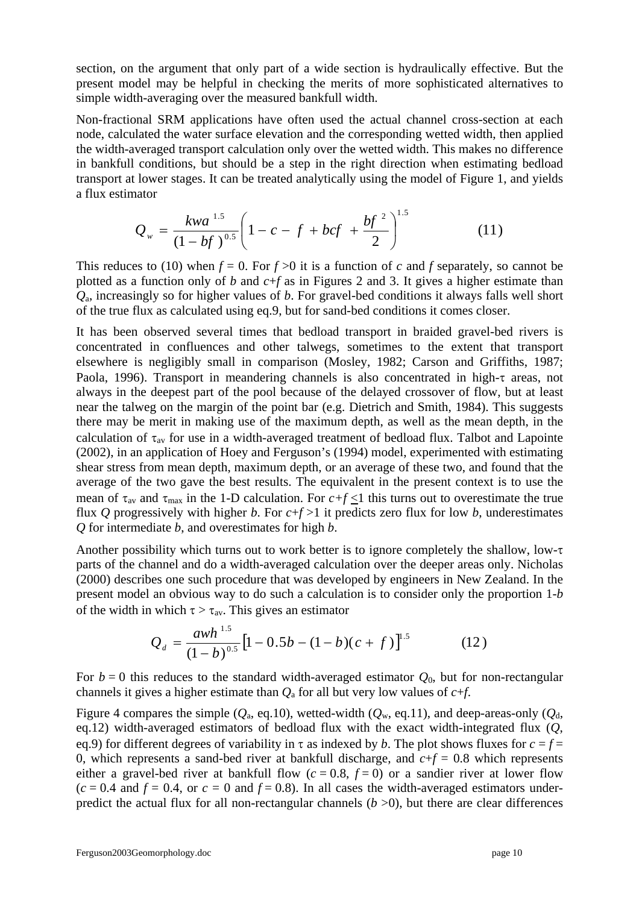section, on the argument that only part of a wide section is hydraulically effective. But the present model may be helpful in checking the merits of more sophisticated alternatives to simple width-averaging over the measured bankfull width.

Non-fractional SRM applications have often used the actual channel cross-section at each node, calculated the water surface elevation and the corresponding wetted width, then applied the width-averaged transport calculation only over the wetted width. This makes no difference in bankfull conditions, but should be a step in the right direction when estimating bedload transport at lower stages. It can be treated analytically using the model of Figure 1, and yields a flux estimator

$$
Q_w = \frac{kwa^{1.5}}{(1 - bf)^{0.5}} \left(1 - c - f + bcf + \frac{bf^2}{2}\right)^{1.5}
$$
 (11)

This reduces to (10) when  $f = 0$ . For  $f > 0$  it is a function of *c* and *f* separately, so cannot be plotted as a function only of *b* and *c*+*f* as in Figures 2 and 3. It gives a higher estimate than *Q*a, increasingly so for higher values of *b*. For gravel-bed conditions it always falls well short of the true flux as calculated using eq.9, but for sand-bed conditions it comes closer.

It has been observed several times that bedload transport in braided gravel-bed rivers is concentrated in confluences and other talwegs, sometimes to the extent that transport elsewhere is negligibly small in comparison (Mosley, 1982; Carson and Griffiths, 1987; Paola, 1996). Transport in meandering channels is also concentrated in high-τ areas, not always in the deepest part of the pool because of the delayed crossover of flow, but at least near the talweg on the margin of the point bar (e.g. Dietrich and Smith, 1984). This suggests there may be merit in making use of the maximum depth, as well as the mean depth, in the calculation of  $\tau_{av}$  for use in a width-averaged treatment of bedload flux. Talbot and Lapointe (2002), in an application of Hoey and Ferguson's (1994) model, experimented with estimating shear stress from mean depth, maximum depth, or an average of these two, and found that the average of the two gave the best results. The equivalent in the present context is to use the mean of  $\tau_{av}$  and  $\tau_{max}$  in the 1-D calculation. For  $c+f\leq 1$  this turns out to overestimate the true flux *Q* progressively with higher *b*. For  $c+f>1$  it predicts zero flux for low *b*, underestimates *Q* for intermediate *b*, and overestimates for high *b*.

Another possibility which turns out to work better is to ignore completely the shallow, low-τ parts of the channel and do a width-averaged calculation over the deeper areas only. Nicholas (2000) describes one such procedure that was developed by engineers in New Zealand. In the present model an obvious way to do such a calculation is to consider only the proportion 1-*b* of the width in which  $\tau > \tau_{av}$ . This gives an estimator

$$
Q_d = \frac{awh^{1.5}}{(1-b)^{0.5}} \left[1 - 0.5b - (1-b)(c+f)\right]^{1.5}
$$
 (12)

For  $b = 0$  this reduces to the standard width-averaged estimator  $Q_0$ , but for non-rectangular channels it gives a higher estimate than *Q*a for all but very low values of *c*+*f*.

Figure 4 compares the simple ( $Q_a$ , eq.10), wetted-width ( $Q_w$ , eq.11), and deep-areas-only ( $Q_d$ , eq.12) width-averaged estimators of bedload flux with the exact width-integrated flux (*Q*, eq.9) for different degrees of variability in  $\tau$  as indexed by *b*. The plot shows fluxes for  $c = f =$ 0, which represents a sand-bed river at bankfull discharge, and  $c+f = 0.8$  which represents either a gravel-bed river at bankfull flow  $(c = 0.8, f = 0)$  or a sandier river at lower flow  $(c = 0.4$  and  $f = 0.4$ , or  $c = 0$  and  $f = 0.8$ ). In all cases the width-averaged estimators underpredict the actual flux for all non-rectangular channels  $(b > 0)$ , but there are clear differences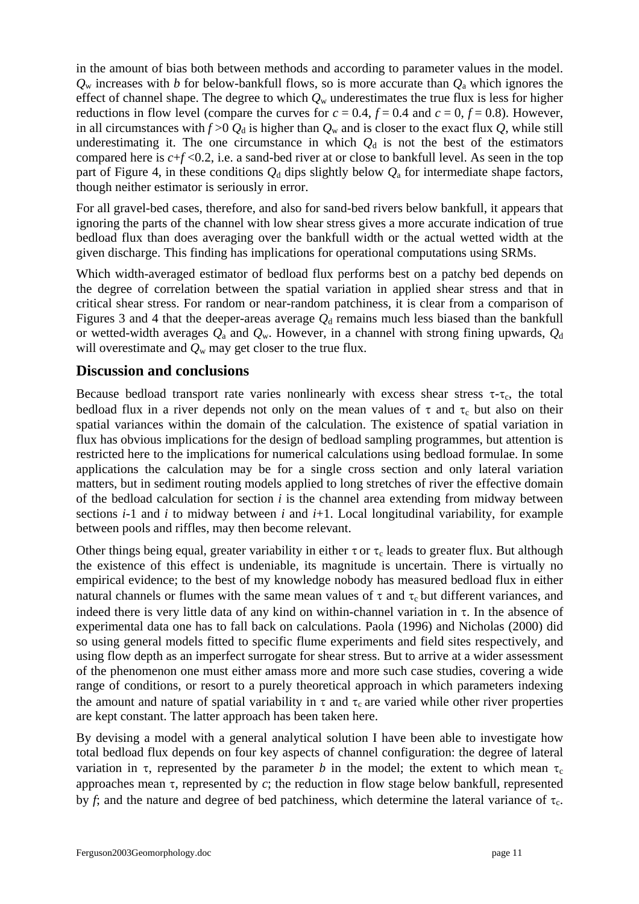in the amount of bias both between methods and according to parameter values in the model.  $Q_w$  increases with *b* for below-bankfull flows, so is more accurate than  $Q_a$  which ignores the effect of channel shape. The degree to which  $Q_w$  underestimates the true flux is less for higher reductions in flow level (compare the curves for  $c = 0.4$ ,  $f = 0.4$  and  $c = 0$ ,  $f = 0.8$ ). However, in all circumstances with  $f > 0$   $Q_d$  is higher than  $Q_w$  and is closer to the exact flux  $Q$ , while still underestimating it. The one circumstance in which  $Q_d$  is not the best of the estimators compared here is *c*+*f* <0.2, i.e. a sand-bed river at or close to bankfull level. As seen in the top part of Figure 4, in these conditions  $Q_d$  dips slightly below  $Q_a$  for intermediate shape factors, though neither estimator is seriously in error.

For all gravel-bed cases, therefore, and also for sand-bed rivers below bankfull, it appears that ignoring the parts of the channel with low shear stress gives a more accurate indication of true bedload flux than does averaging over the bankfull width or the actual wetted width at the given discharge. This finding has implications for operational computations using SRMs.

Which width-averaged estimator of bedload flux performs best on a patchy bed depends on the degree of correlation between the spatial variation in applied shear stress and that in critical shear stress. For random or near-random patchiness, it is clear from a comparison of Figures 3 and 4 that the deeper-areas average  $Q_d$  remains much less biased than the bankfull or wetted-width averages  $Q_a$  and  $Q_w$ . However, in a channel with strong fining upwards,  $Q_d$ will overestimate and  $Q_w$  may get closer to the true flux.

### **Discussion and conclusions**

Because bedload transport rate varies nonlinearly with excess shear stress  $\tau$ - $\tau_c$ , the total bedload flux in a river depends not only on the mean values of  $\tau$  and  $\tau_c$  but also on their spatial variances within the domain of the calculation. The existence of spatial variation in flux has obvious implications for the design of bedload sampling programmes, but attention is restricted here to the implications for numerical calculations using bedload formulae. In some applications the calculation may be for a single cross section and only lateral variation matters, but in sediment routing models applied to long stretches of river the effective domain of the bedload calculation for section *i* is the channel area extending from midway between sections *i*-1 and *i* to midway between *i* and *i*+1. Local longitudinal variability, for example between pools and riffles, may then become relevant.

Other things being equal, greater variability in either  $\tau$  or  $\tau_c$  leads to greater flux. But although the existence of this effect is undeniable, its magnitude is uncertain. There is virtually no empirical evidence; to the best of my knowledge nobody has measured bedload flux in either natural channels or flumes with the same mean values of  $\tau$  and  $\tau_c$  but different variances, and indeed there is very little data of any kind on within-channel variation in  $\tau$ . In the absence of experimental data one has to fall back on calculations. Paola (1996) and Nicholas (2000) did so using general models fitted to specific flume experiments and field sites respectively, and using flow depth as an imperfect surrogate for shear stress. But to arrive at a wider assessment of the phenomenon one must either amass more and more such case studies, covering a wide range of conditions, or resort to a purely theoretical approach in which parameters indexing the amount and nature of spatial variability in  $\tau$  and  $\tau_c$  are varied while other river properties are kept constant. The latter approach has been taken here.

By devising a model with a general analytical solution I have been able to investigate how total bedload flux depends on four key aspects of channel configuration: the degree of lateral variation in  $\tau$ , represented by the parameter *b* in the model; the extent to which mean  $\tau_c$ approaches mean τ, represented by *c*; the reduction in flow stage below bankfull, represented by *f*; and the nature and degree of bed patchiness, which determine the lateral variance of  $\tau_c$ .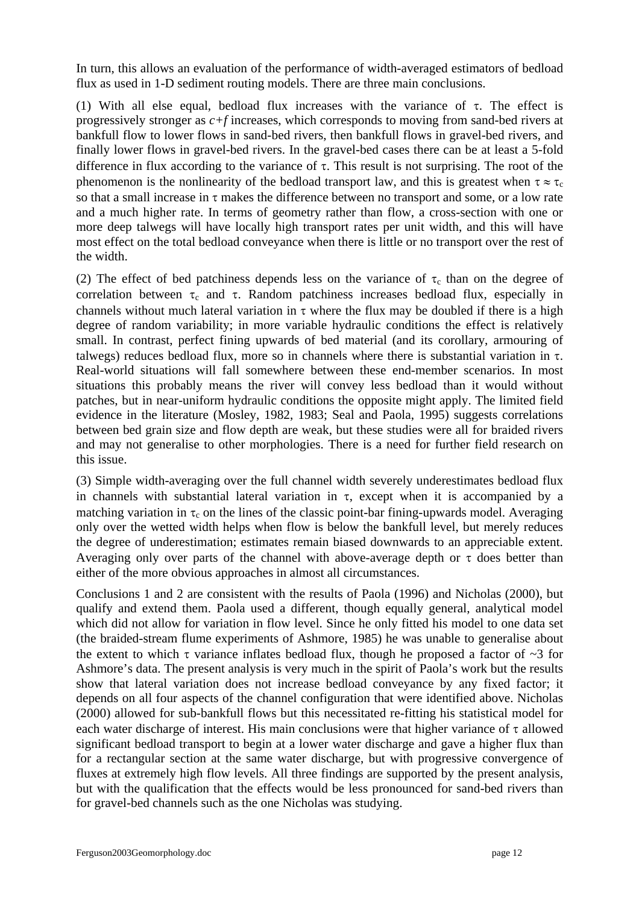In turn, this allows an evaluation of the performance of width-averaged estimators of bedload flux as used in 1-D sediment routing models. There are three main conclusions.

(1) With all else equal, bedload flux increases with the variance of  $\tau$ . The effect is progressively stronger as *c+f* increases, which corresponds to moving from sand-bed rivers at bankfull flow to lower flows in sand-bed rivers, then bankfull flows in gravel-bed rivers, and finally lower flows in gravel-bed rivers. In the gravel-bed cases there can be at least a 5-fold difference in flux according to the variance of  $\tau$ . This result is not surprising. The root of the phenomenon is the nonlinearity of the bedload transport law, and this is greatest when  $\tau \approx \tau_c$ so that a small increase in τ makes the difference between no transport and some, or a low rate and a much higher rate. In terms of geometry rather than flow, a cross-section with one or more deep talwegs will have locally high transport rates per unit width, and this will have most effect on the total bedload conveyance when there is little or no transport over the rest of the width.

(2) The effect of bed patchiness depends less on the variance of  $\tau_c$  than on the degree of correlation between  $\tau_c$  and  $\tau$ . Random patchiness increases bedload flux, especially in channels without much lateral variation in  $\tau$  where the flux may be doubled if there is a high degree of random variability; in more variable hydraulic conditions the effect is relatively small. In contrast, perfect fining upwards of bed material (and its corollary, armouring of talwegs) reduces bedload flux, more so in channels where there is substantial variation in τ. Real-world situations will fall somewhere between these end-member scenarios. In most situations this probably means the river will convey less bedload than it would without patches, but in near-uniform hydraulic conditions the opposite might apply. The limited field evidence in the literature (Mosley, 1982, 1983; Seal and Paola, 1995) suggests correlations between bed grain size and flow depth are weak, but these studies were all for braided rivers and may not generalise to other morphologies. There is a need for further field research on this issue.

(3) Simple width-averaging over the full channel width severely underestimates bedload flux in channels with substantial lateral variation in  $\tau$ , except when it is accompanied by a matching variation in  $\tau_c$  on the lines of the classic point-bar fining-upwards model. Averaging only over the wetted width helps when flow is below the bankfull level, but merely reduces the degree of underestimation; estimates remain biased downwards to an appreciable extent. Averaging only over parts of the channel with above-average depth or  $\tau$  does better than either of the more obvious approaches in almost all circumstances.

Conclusions 1 and 2 are consistent with the results of Paola (1996) and Nicholas (2000), but qualify and extend them. Paola used a different, though equally general, analytical model which did not allow for variation in flow level. Since he only fitted his model to one data set (the braided-stream flume experiments of Ashmore, 1985) he was unable to generalise about the extent to which  $\tau$  variance inflates bedload flux, though he proposed a factor of  $\sim$ 3 for Ashmore's data. The present analysis is very much in the spirit of Paola's work but the results show that lateral variation does not increase bedload conveyance by any fixed factor; it depends on all four aspects of the channel configuration that were identified above. Nicholas (2000) allowed for sub-bankfull flows but this necessitated re-fitting his statistical model for each water discharge of interest. His main conclusions were that higher variance of  $\tau$  allowed significant bedload transport to begin at a lower water discharge and gave a higher flux than for a rectangular section at the same water discharge, but with progressive convergence of fluxes at extremely high flow levels. All three findings are supported by the present analysis, but with the qualification that the effects would be less pronounced for sand-bed rivers than for gravel-bed channels such as the one Nicholas was studying.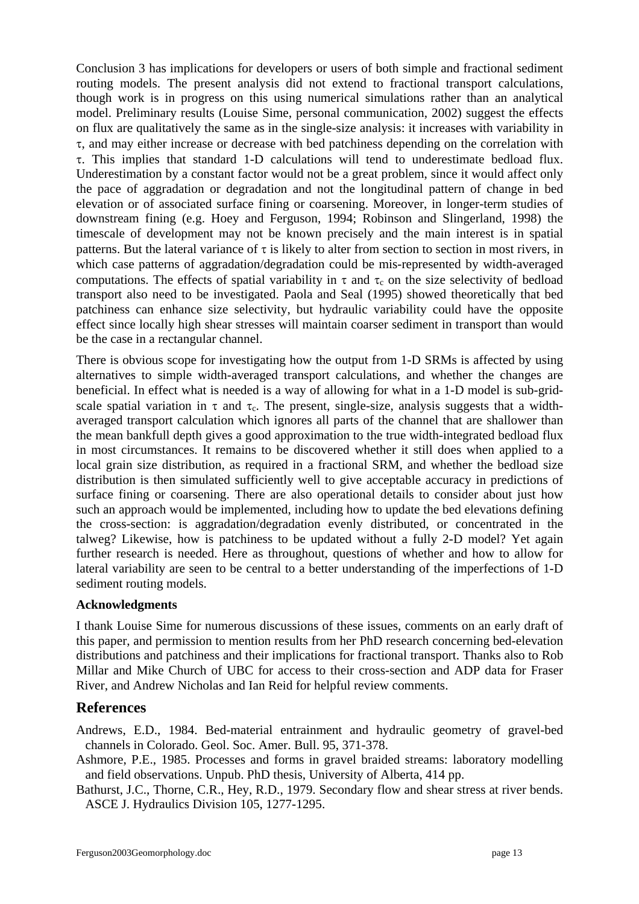Conclusion 3 has implications for developers or users of both simple and fractional sediment routing models. The present analysis did not extend to fractional transport calculations, though work is in progress on this using numerical simulations rather than an analytical model. Preliminary results (Louise Sime, personal communication, 2002) suggest the effects on flux are qualitatively the same as in the single-size analysis: it increases with variability in τ, and may either increase or decrease with bed patchiness depending on the correlation with τ. This implies that standard 1-D calculations will tend to underestimate bedload flux. Underestimation by a constant factor would not be a great problem, since it would affect only the pace of aggradation or degradation and not the longitudinal pattern of change in bed elevation or of associated surface fining or coarsening. Moreover, in longer-term studies of downstream fining (e.g. Hoey and Ferguson, 1994; Robinson and Slingerland, 1998) the timescale of development may not be known precisely and the main interest is in spatial patterns. But the lateral variance of  $\tau$  is likely to alter from section to section in most rivers, in which case patterns of aggradation/degradation could be mis-represented by width-averaged computations. The effects of spatial variability in  $\tau$  and  $\tau_c$  on the size selectivity of bedload transport also need to be investigated. Paola and Seal (1995) showed theoretically that bed patchiness can enhance size selectivity, but hydraulic variability could have the opposite effect since locally high shear stresses will maintain coarser sediment in transport than would be the case in a rectangular channel.

There is obvious scope for investigating how the output from 1-D SRMs is affected by using alternatives to simple width-averaged transport calculations, and whether the changes are beneficial. In effect what is needed is a way of allowing for what in a 1-D model is sub-gridscale spatial variation in  $\tau$  and  $\tau_c$ . The present, single-size, analysis suggests that a widthaveraged transport calculation which ignores all parts of the channel that are shallower than the mean bankfull depth gives a good approximation to the true width-integrated bedload flux in most circumstances. It remains to be discovered whether it still does when applied to a local grain size distribution, as required in a fractional SRM, and whether the bedload size distribution is then simulated sufficiently well to give acceptable accuracy in predictions of surface fining or coarsening. There are also operational details to consider about just how such an approach would be implemented, including how to update the bed elevations defining the cross-section: is aggradation/degradation evenly distributed, or concentrated in the talweg? Likewise, how is patchiness to be updated without a fully 2-D model? Yet again further research is needed. Here as throughout, questions of whether and how to allow for lateral variability are seen to be central to a better understanding of the imperfections of 1-D sediment routing models.

#### **Acknowledgments**

I thank Louise Sime for numerous discussions of these issues, comments on an early draft of this paper, and permission to mention results from her PhD research concerning bed-elevation distributions and patchiness and their implications for fractional transport. Thanks also to Rob Millar and Mike Church of UBC for access to their cross-section and ADP data for Fraser River, and Andrew Nicholas and Ian Reid for helpful review comments.

# **References**

Andrews, E.D., 1984. Bed-material entrainment and hydraulic geometry of gravel-bed channels in Colorado. Geol. Soc. Amer. Bull. 95, 371-378.

- Ashmore, P.E., 1985. Processes and forms in gravel braided streams: laboratory modelling and field observations. Unpub. PhD thesis, University of Alberta, 414 pp.
- Bathurst, J.C., Thorne, C.R., Hey, R.D., 1979. Secondary flow and shear stress at river bends. ASCE J. Hydraulics Division 105, 1277-1295.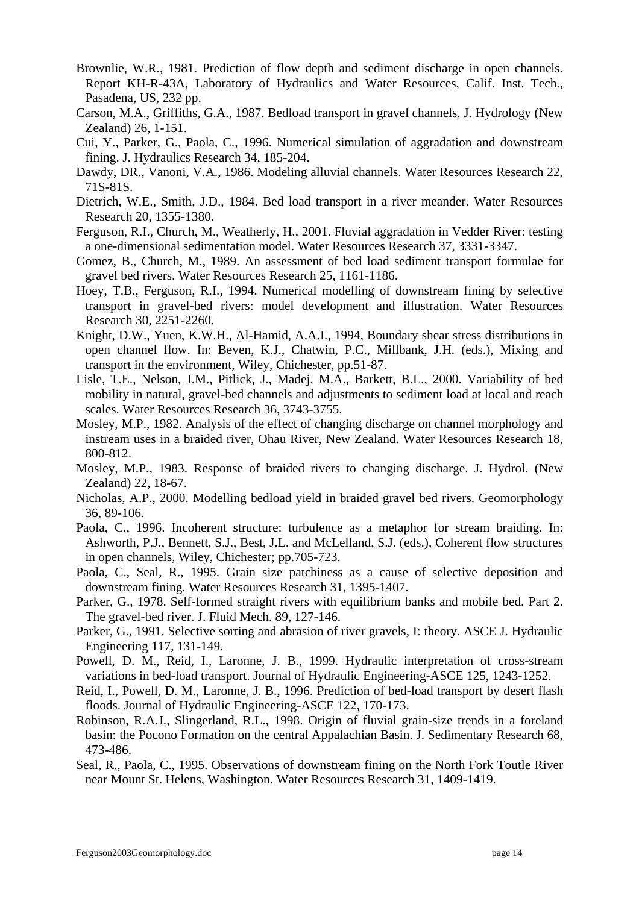- Brownlie, W.R., 1981. Prediction of flow depth and sediment discharge in open channels. Report KH-R-43A, Laboratory of Hydraulics and Water Resources, Calif. Inst. Tech., Pasadena, US, 232 pp.
- Carson, M.A., Griffiths, G.A., 1987. Bedload transport in gravel channels. J. Hydrology (New Zealand) 26, 1-151.
- Cui, Y., Parker, G., Paola, C., 1996. Numerical simulation of aggradation and downstream fining. J. Hydraulics Research 34, 185-204.
- Dawdy, DR., Vanoni, V.A., 1986. Modeling alluvial channels. Water Resources Research 22, 71S-81S.
- Dietrich, W.E., Smith, J.D., 1984. Bed load transport in a river meander. Water Resources Research 20, 1355-1380.
- Ferguson, R.I., Church, M., Weatherly, H., 2001. Fluvial aggradation in Vedder River: testing a one-dimensional sedimentation model. Water Resources Research 37, 3331-3347.
- Gomez, B., Church, M., 1989. An assessment of bed load sediment transport formulae for gravel bed rivers. Water Resources Research 25, 1161-1186.
- Hoey, T.B., Ferguson, R.I., 1994. Numerical modelling of downstream fining by selective transport in gravel-bed rivers: model development and illustration. Water Resources Research 30, 2251-2260.
- Knight, D.W., Yuen, K.W.H., Al-Hamid, A.A.I., 1994, Boundary shear stress distributions in open channel flow. In: Beven, K.J., Chatwin, P.C., Millbank, J.H. (eds.), Mixing and transport in the environment, Wiley, Chichester, pp.51-87.
- Lisle, T.E., Nelson, J.M., Pitlick, J., Madej, M.A., Barkett, B.L., 2000. Variability of bed mobility in natural, gravel-bed channels and adjustments to sediment load at local and reach scales. Water Resources Research 36, 3743-3755.
- Mosley, M.P., 1982. Analysis of the effect of changing discharge on channel morphology and instream uses in a braided river, Ohau River, New Zealand. Water Resources Research 18, 800-812.
- Mosley, M.P., 1983. Response of braided rivers to changing discharge. J. Hydrol. (New Zealand) 22, 18-67.
- Nicholas, A.P., 2000. Modelling bedload yield in braided gravel bed rivers. Geomorphology 36, 89-106.
- Paola, C., 1996. Incoherent structure: turbulence as a metaphor for stream braiding. In: Ashworth, P.J., Bennett, S.J., Best, J.L. and McLelland, S.J. (eds.), Coherent flow structures in open channels, Wiley, Chichester; pp.705-723.
- Paola, C., Seal, R., 1995. Grain size patchiness as a cause of selective deposition and downstream fining. Water Resources Research 31, 1395-1407.
- Parker, G., 1978. Self-formed straight rivers with equilibrium banks and mobile bed. Part 2. The gravel-bed river. J. Fluid Mech. 89, 127-146.
- Parker, G., 1991. Selective sorting and abrasion of river gravels, I: theory. ASCE J. Hydraulic Engineering 117, 131-149.
- Powell, D. M., Reid, I., Laronne, J. B., 1999. Hydraulic interpretation of cross-stream variations in bed-load transport. Journal of Hydraulic Engineering-ASCE 125, 1243-1252.
- Reid, I., Powell, D. M., Laronne, J. B., 1996. Prediction of bed-load transport by desert flash floods. Journal of Hydraulic Engineering-ASCE 122, 170-173.
- Robinson, R.A.J., Slingerland, R.L., 1998. Origin of fluvial grain-size trends in a foreland basin: the Pocono Formation on the central Appalachian Basin. J. Sedimentary Research 68, 473-486.
- Seal, R., Paola, C., 1995. Observations of downstream fining on the North Fork Toutle River near Mount St. Helens, Washington. Water Resources Research 31, 1409-1419.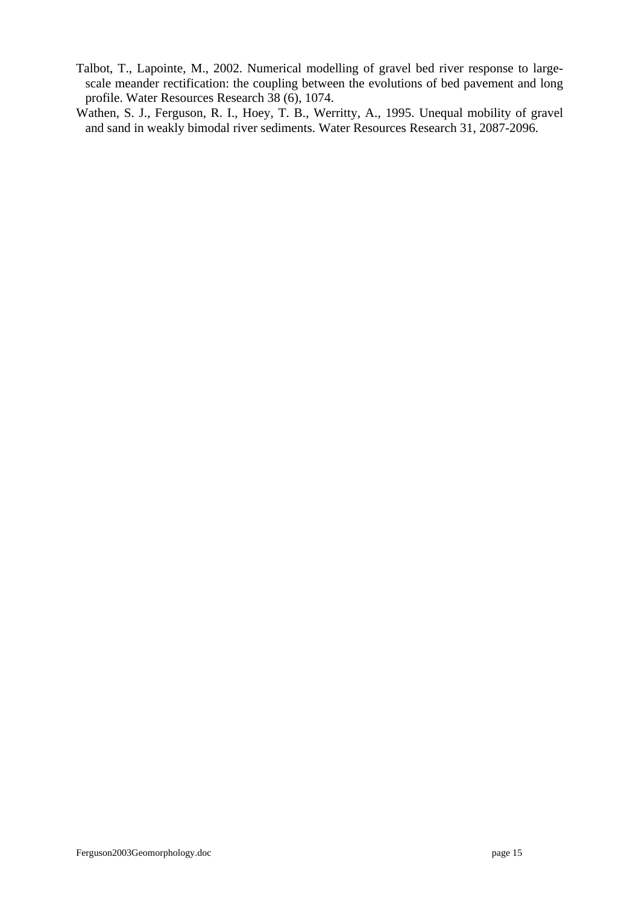- Talbot, T., Lapointe, M., 2002. Numerical modelling of gravel bed river response to largescale meander rectification: the coupling between the evolutions of bed pavement and long profile. Water Resources Research 38 (6), 1074.
- Wathen, S. J., Ferguson, R. I., Hoey, T. B., Werritty, A., 1995. Unequal mobility of gravel and sand in weakly bimodal river sediments. Water Resources Research 31, 2087-2096.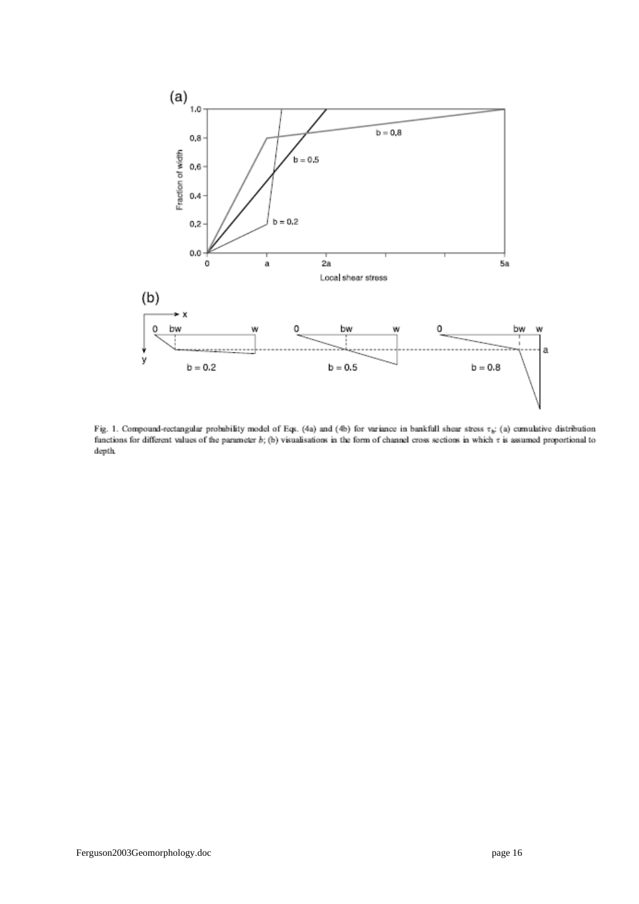

Fig. 1. Compound-rectangular probability model of Eqs. (4a) and (4b) for variance in bankfull shear stress  $\tau_{\phi}$ : (a) cumulative distribution functions for different values of the parameter  $b$ ; (b) visualisations in the form of channel cross sections in which  $\tau$  is assumed proportional to  $\operatorname{depth}$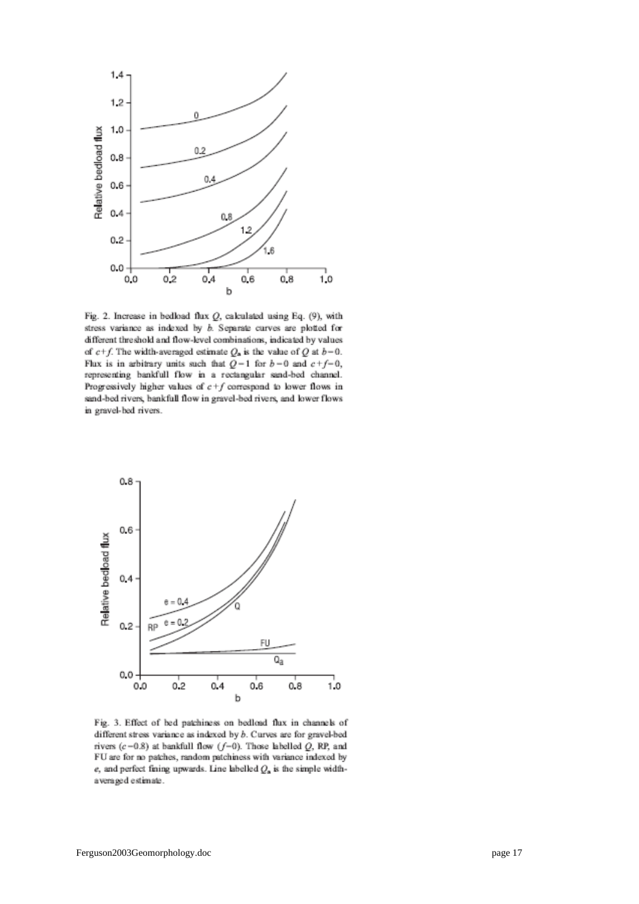

Fig. 2. Increase in bedload flux  $Q$ , calculated using Eq. (9), with stress variance as indexed by  $b$ . Separate curves are plotted for different threshold and flow-level combinations, indicated by values of  $c+f$ . The width-averaged estimate  $Q_a$  is the value of Q at  $b-0$ . Flux is in arbitrary units such that  $Q-1$  for  $b-0$  and  $c+f-0$ , representing bankfull flow in a rectangular sand-bed channel. Progressively higher values of  $c+f$  correspond to lower flows in sand-bed rivers, bankfull flow in gravel-bed rivers, and lower flows in gravel-hed rivers.



Fig. 3. Effect of bed patchiness on bedload flux in channels of different stress variance as indexed by  $b$ . Curves are for gravel-bed rivers  $(c-0.8)$  at bankfull flow  $(f-0)$ . Those labelled Q, RP, and FU are for no patches, random patchiness with variance indexed by e, and perfect fining upwards. Line labelled  $Q_n$  is the simple widthaveraged estimate.